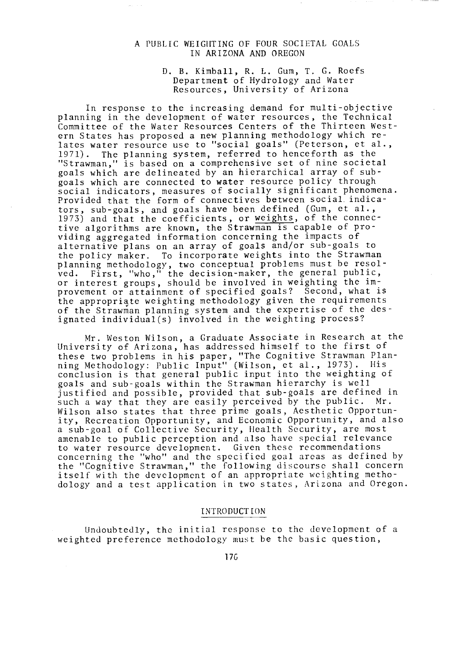## A PUBLIC WEIGHTING OF FOUR SOCIETAL GOALS IN ARIZONA AND OREGON

as sin

### D. B. Kimball, R. L. Gum, T. G. Roefs Department of Hydrology and Water Resources, University of Arizona

In response to the increasing demand for multi-objective planning in the development of water resources, the Technical Committee of the Water Resources Centers of the Thirteen Western States has proposed a new planning methodology which relates water resource use to "social goals" (Peterson, et al., 1971). The planning system, referred to henceforth as the "Strawman," is based on a comprehensive set of nine societal goals which are delineated by an hierarchical array of sub goals which are connected to water resource policy through social indicators, measures of socially significant phenomena. Provided that the form of connectives between social indicators, sub-goals, and goals have been defined (Gum, et al., 1973) and that the coefficients, or weights, of the connective algorithms are known, the Strawman is capable of providing aggregated information concerning the impacts of alternative plans on an array of goals and/or sub-goals to the policy maker. To incorporate weights into the Strawman planning methodology, two conceptual problems must be resolved. First, "who," the decision -maker, the general public, or interest groups, should be involved in weighting the improvement or attainment of specified goals? Second, what is the appropriate weighting methodology given the requirements of the Strawman planning system and the expertise of the designated individual(s) involved in the weighting process?

Mr. Weston Wilson, a Graduate Associate in Research at the University of Arizona, has addressed himself to the first of these two problems in his paper, "The Cognitive Strawman Planning Methodology: Public Input" (Wilson, et al., 1973). His conclusion is that general public input into the weighting of goals and sub -goals within the Strawman hierarchy is well justified and possible, provided that sub-goals are defined in such a way that they are easily perceived by the public. Mr. Wilson also states that three prime goals, Aesthetic Opportunity, Recreation Opportunity, and Economic Opportunity, and also a sub -goal of Collective Security, Health Security, are most amenable to public perception and also have special relevance to water resource development. Given these recommendations concerning the "who" and the specified goal areas as defined by the "Cognitive Strawman," the following discourse shall concern itself with the development of an appropriate weighting methodology and a test application in two states, Arizona and Oregon.

## INTRODUCTION

Undoubtedly, the initial response to the development of a weighted preference methodology must be the basic question,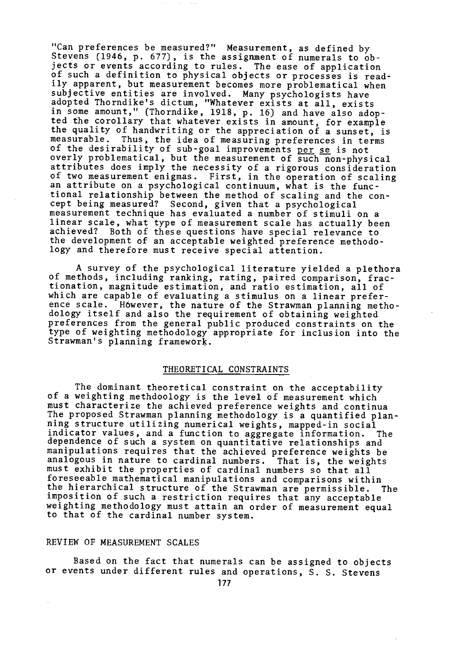"Can preferences be measured ?" Measurement, as defined by Stevens (1946, p. 677), is the assignment of numerals to objects or events according to rules. The ease of application of such a definition to physical objects or processes is readily apparent, but measurement becomes more problematical when subjective entities are involved. Many psychologists have adopted Thorndike's dictum, "Whatever exists at all, exists in some amount," (Thorndike, 1918, p. 16) and have also adopted the corollary that whatever exists in amount, for example the quality of handwriting or the appreciation of a sunset, is measurable. Thus, the idea of measuring preferences in terms of the desirability of sub–goal improvements <u>per se</u> is not overly problematical, but the measurement of such non -physical attributes does imply the necessity of a rigorous consideration of two measurement enigmas. First, in the operation of scaling an attribute on a psychological continuum, what is the functional relationship between the method of scaling and the concept being measured? Second, given that a psychological measurement technique has evaluated a number of stimuli on a linear scale, what type of measurement scale has actually been achieved? Both of these questions have special relevance to the development of an acceptable weighted preference methodology and therefore must receive special attention.

A survey of the psychological literature yielded a plethora of methods, including ranking, rating, paired comparison, fractionation, magnitude estimation, and ratio estimation, all of which are capable of evaluating a stimulus on a linear preference scale. Höwever, the nature of the Strawman planning methodology itself and also the requirement of obtaining weighted preferences from the general public produced constraints on the type of weighting methodology appropriate for inclusion into the Strawman's planning framework.

# THEORETICAL CONSTRAINTS

The dominant theoretical constraint on the acceptability of a weighting methdoology is the level of measurement which must characterize the achieved preference weights and continua The proposed Strawman planning methodology is a quantified planning structure utilizing numerical weights, mapped -in social indicator values, and a function to aggregate information. The dependence of such a system on quantitative relationships and manipulations requires that the achieved preference weights be analogous in nature to cardinal numbers. That is, the weights must exhibit the properties of cardinal numbers so that all foreseeable mathematical manipulations and comparisons within the hierarchical structure of the Strawman are permissible. The imposition of such a restriction requires that any acceptable weighting methodology must attain an order of measurement equal to that of the cardinal number system.

# REVIEW OF MEASUREMENT SCALES

Based on the fact that numerals can be assigned to objects or events under different rules and operations, S. S. Stevens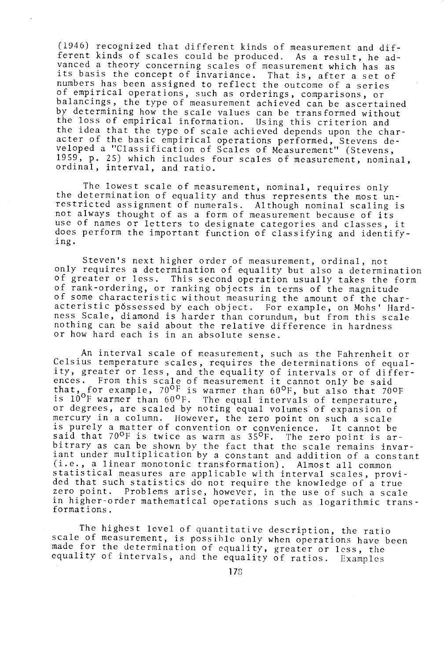(1946) recognized that different kinds of measurement and different kinds of scales could be produced. As a result, he ad-<br>vanced a theory concerning scales of measurement which has as vanced a theory concerning scales of measurement which has as<br>its basis the concept of invariance. That is, after a set of numbers has been assigned to reflect the outcome of a series of empirical operations, such as orderings, comparisons, or balancings, the type of measurement achieved can be ascertained by determining how the scale values can be transformed without the loss of empirical information. Using this criterion and the idea that the type of scale achieved depends upon the character of the basic empirical operations performed, Stevens developed a "Classification of Scales of Measurement" (Stevens, 1959, p. 25) which includes four scales of measurement, nominal, ordinal, interval, and ratio.

The lowest scale of measurement, nominal, requires only the determination of equality and thus represents the most unrestricted assignment of numerals. Although nominal scaling is not always thought of as a form of measurement because of its use of names or letters to designate categories and classes, it does perform the important function of classifying and identifying.

Steven's next higher order of measurement, ordinal, not only requires a determination of equality but also a determination of greater or less. This second operation usually takes the form of rank -ordering, or ranking objects in terms of the magnitude of some characteristic without measuring the amount of the characteristic possessed by each object. For example, on Mohs' Hardness Scale, diamond is harder than corundum, but from this scale nothing can be said about the relative difference in hardness or how hard each is in an absolute sense.

An interval scale of measurement, such as the Fahrenheit or Celsius temperature scales, requires the determinations of equality, greater or less, and the equality of intervals or of differences. From this scale of measurement it cannot only be said that, for example,  $70^{\circ}$ f is warmer than 60 $^{\circ}$ F, but also that  $70^{\circ}$ F is  $10^{\circ}$ F warmer than  $60^{\circ}$ F. The equal intervals of temperature, or degrees, are scaled by noting equal volumes of expansion of mercury in a column. However, the zero point on such a scale is purely a matter of convention or convenience. It cannot be said that  $70^{\circ}$ F is twice as warm as  $35^{\circ}$ F. The zero point is arbitrary as can be shown by the fact that the scale remains invariant under multiplication by a constant and addition of a constant (i.e., a linear monotonic transformation). Almost all common statistical measures are applicable with interval scales, provided that such statistics do not require the knowledge of a true zero point. Problems arise, however, in the use of such a scale in higher -order mathematical operations such as logarithmic transformations.

The highest level of quantitative description, the ratio scale of measurement, is possible only when operations have been made for the determination of equality, greater or less, the equality of intervals, and the equality of ratios. Examples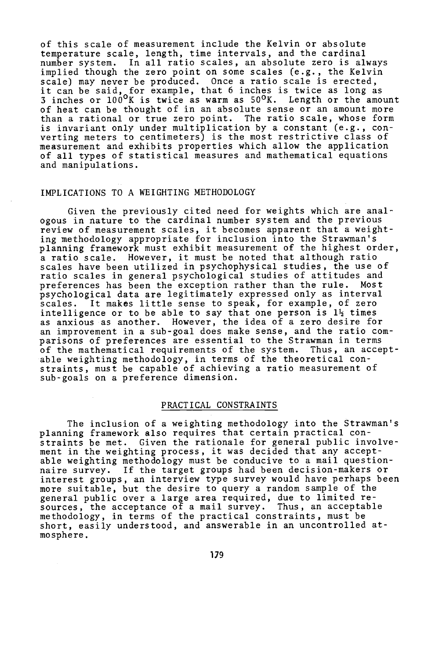of this scale of measurement include the Kelvin or absolute temperature scale, length, time intervals, and the cardinal number system. In all ratio scales, an absolute zero is always implied though the zero point on some scales (e.g., the Kelvin scale) may never be produced. Once a ratio scale is erected, it can be said, for example, that 6 inches is twice as long as 3 inches or  $100^{\sf o}{\tt K}$  is twice as warm as  $50^{\sf o}{\tt K}.$  Length or the amount of heat can be thought of in an absolute sense or an amount more than a rational or true zero point. The ratio scale, whose form is invariant only under multiplication by a constant (e.g., converting meters to centimeters) is the most restrictive class of measurement and exhibits properties which allow the application of all types of statistical measures and mathematical equations and manipulations.

# IMPLICATIONS TO A WEIGHTING METHODOLOGY

Given the previously cited need for weights which are analogous in nature to the cardinal number system and the previous review of measurement scales, it becomes apparent that a weighting methodology appropriate for inclusion into the Strawman's planning framework must exhibit measurement of the highest order, a ratio scale. However, it must be noted that although ratio scales have been utilized in psychophysical studies, the use of ratio scales in general psychological studies of attitudes and preferences has been the exception rather than the rule. psychological data are legitimately expressed only as interval scales. It makes little sense to speak, for example, of zero intelligence or to be able to say that one person is  $1\frac{1}{2}$  times as anxious as another. However, the idea of a zero desire for an improvement in a sub -goal does make sense, and the ratio comparisons of preferences are essential to the Strawman in terms of the mathematical requirements of the system. Thus, an acceptable weighting methodology, in terms of the theoretical constraints, must be capable of achieving a ratio measurement of sub-goals on a preference dimension.

#### PRACTICAL CONSTRAINTS

The inclusion of a weighting methodology into the Strawman's planning framework also requires that certain practical constraints be met. Given the rationale for general public involvement in the weighting process, it was decided that any acceptable weighting methodology must be conducive to a mail questionnaire survey. If the target groups had been decision -makers or interest groups, an interview type survey would have perhaps been more suitable, but the desire to query a random sample of the general public over a large area required, due to limited resources, the acceptance of a mail survey. Thus, an acceptable methodology, in terms of the practical constraints, must be short, easily understood, and answerable in an uncontrolled atmosphere.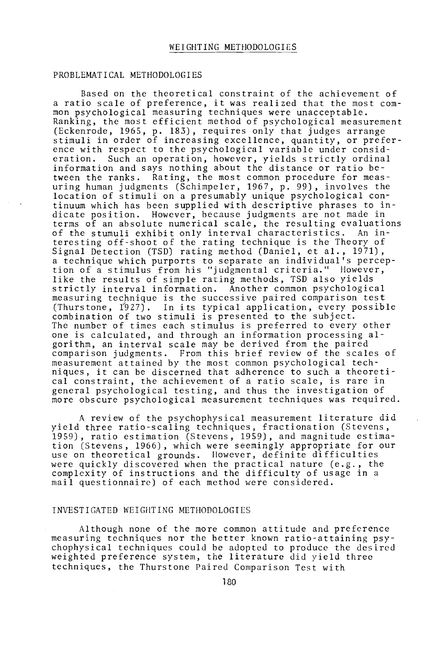## PROBLEMATICAL METHODOLOGIES

Based on the theoretical constraint of the achievement of a ratio scale of preference, it was realized that the most common psychological measuring techniques were unacceptable. Ranking, the most efficient method of psychological measurement (Eckenrode, 1965, p. 183), requires only that judges arrange stimuli in order of increasing excellence, quantity, or preference with respect to the psychological variable under consid-<br>eration. Such an operation, however, vields strictly ordinal Such an operation, however, yields strictly ordinal information and says nothing about the distance or ratio between the ranks. Rating, the most common procedure for measuring human judgments (Schimpeler, 1967, p. 99), involves the location of stimuli on a presumably unique psychological continuum which has been supplied with descriptive phrases to indicate position. However, because judgments are not made in terms of an absolute numerical scale, the resulting evaluations of the stumuli exhibit only interval characteristics. An interesting off -shoot of the rating technique is the Theory of Signal Detection (TSD) rating method (Daniel, et al., 1971), a technique which purports to separate an individual's perception of a stimulus from his "judgmental criteria." However, like the results of simple rating methods, TSD also yields strictly interval information. Another common psychological measuring technique is the successive paired comparison test (Thurstone, 1927). In its typical application, every possible combination of two stimuli is presented to the subject. The number of times each stimulus is preferred to every other one is calculated, and through an information processing algorithm, an interval scale may be derived from the paired comparison judgments. From this brief review of the scales of measurement attained by the most common psychological techniques, it can be discerned that adherence to such a theoretical constraint, the achievement of a ratio scale, is rare in general psychological testing, and thus the investigation of more obscure psychological measurement techniques was required.

A review of the psychophysical measurement literature did yield three ratio -scaling techniques, fractionation (Stevens, 1959), ratio estimation (Stevens, 1959), and magnitude estimation (Stevens, 1966), which were seemingly appropriate for our use on theoretical grounds. However, definite difficulties were quickly discovered when the practical nature (e.g., the complexity of instructions and the difficulty of usage in a mail questionnaire) of each method were considered.

## INVESTIGATED WEIGHTING METHODOLOGIES

Although none of the more common attitude and preference measuring techniques nor the better known ratio-attaining psychophysical techniques could be adopted to produce the desired weighted preference system, the literature did yield three techniques, the Thurstone Paired Comparison Test with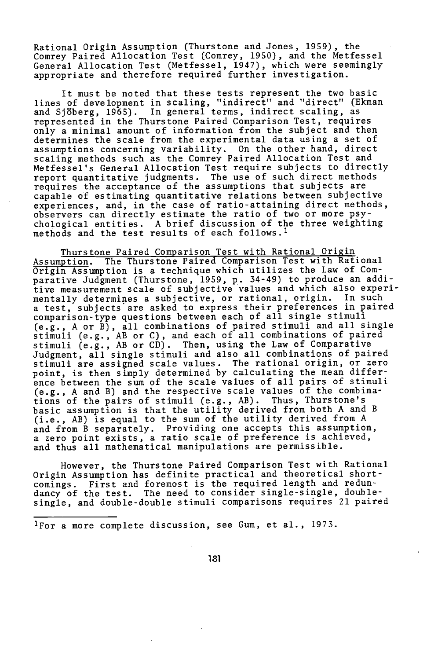Rational Origin Assumption (Thurstone and Jones, 1959), the Comrey Paired Allocation Test (Comrey, 1950), and the Metfessel General Allocation Test (Metfessel, 1947), which were seemingly appropriate and therefore required further investigation.

It must be noted that these tests represent the two basic lines of development in scaling, "indirect" and "direct" (Ekman and Sjöberg, 1965). In general terms, indirect scaling, as represented in the Thurstone Paired Comparison Test, requires only a minimal amount of information from the subject and then determines the scale from the experimental data using a set of assumptions concerning variability. On the other hand, direct scaling methods such as the Comrey Paired Allocation Test and Metfessel's General Allocation Test require subjects to directly report quantitative judgments. The use of such direct methods requires the acceptance of the assumptions that subjects are capable of estimating quantitative relations between subjective experiences, and, in the case of ratio - attaining direct methods, observers can directly estimate the ratio of two or more psychological entities. A brief discussion of the three weighting methods and the test results of each follows.<sup>1</sup>

Thurstone Paired Comparison Test with Rational Origin Assumption. The Thurstone Paired Comparison Test with Rational Origin Assumption is a technique which utilizes the Law of Comparative Judgment (Thurstone, 1959, p. 34 -49) to produce an additive measurement scale of subjective values and which also experimentally determines a subjective, or rational, origin. a test, subjects are asked to express their preferences in paired comparison -type questions between each of all single stimuli (e.g., A or B), all combinations of paired stimuli and all single stimuli (e.g., AB or C), and each of all combinations of paired stimuli (e.g., AB or CD). Then, using the Law of Comparative Judgment, all single stimuli and also all combinations of paired stimuli are assigned scale values. The rational origin, or zero point, is then simply determined by calculating the mean difference between the sum of the scale values of all pairs of stimuli (e.g., A and B) and the respective scale values of the combinations of the pairs of stimuli (e.g., AB). Thus, Thurstone's basic assumption is that the utility derived from both A and B (i.e., AB) is equal to the sum of the utility derived from A and from B separately. Providing one accepts this assumption, a zero point exists, a ratio scale of preference is achieved, and thus all mathematical manipulations are permissible.

However, the Thurstone Paired Comparison Test with Rational Origin Assumption has definite practical and theoretical shortcomings. First and foremost is the required length and redundancy of the test. The need to consider single -single, double single, and double -double stimuli comparisons requires 21 paired

'For a more complete discussion, see Gum, et al., 1973.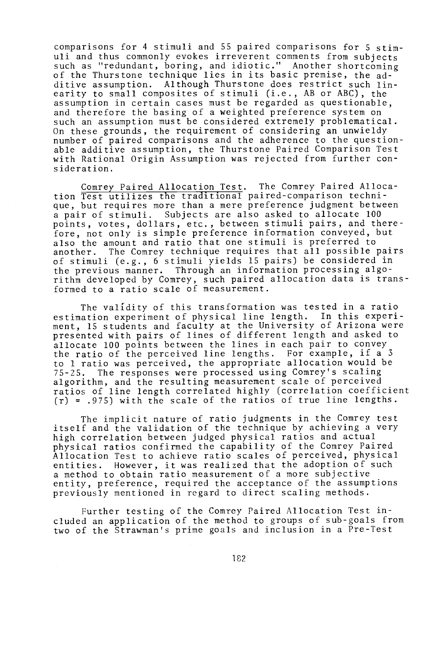comparisons for 4 stimuli and 55 paired comparisons for 5 stimuli and thus commonly evokes irreverent comments from subjects such as "redundant, boring, and idiotic." Another shortcoming of the Thurstone technique lies in its basic premise, the additive assumption. Although Thurstone does restrict such linearity to small composites of stimuli (i.e., AB or ABC), the assumption in certain cases must be regarded as questionable, and therefore the basing of a weighted preference system on such an assumption must be considered extremely problematical. On these grounds, the requirement of considering an unwieldy number of paired comparisons and the adherence to the questionable additive assumption, the Thurstone Paired Comparison Test with Rational Origin Assumption was rejected from further consideration.

Comrey Paired Allocation Test. The Comrey Paired Allocation Test utilizes the traditional paired- comparison technique, but requires more than a mere preference judgment between a pair of stimuli. Subjects are also asked to allocate 100 points, votes, dollars, etc., between stimuli pairs, and therefore, not only is simple preference information conveyed, but also the amount and ratio that one stimuli is preferred to another. The Comrey technique requires that all possible  $j$ The Comrey technique requires that all possible pairs of stimuli (e.g., 6 stimuli yields 15 pairs) be considered in the previous manner. Through an information processing algorithm developed by Comrey, such paired allocation data is transformed to a ratio scale of measurement.

The validity of this transformation was tested in a ratio estimation experiment of physical line length. In this experiment, 15 students and faculty at the University of Arizona were presented with pairs of lines of different length and asked to allocate 100 points between the lines in each pair to convey the ratio of the perceived line lengths. For example, if a <sup>3</sup> to 1 ratio was perceived, the appropriate allocation would be 75 -25. The responses were processed using Comrey's scaling algorithm, and the resulting measurement scale of perceived ratios of line length correlated highly (correlation coefficient (r) <sup>=</sup> .975) with the scale of the ratios of true line lengths.

The implicit nature of ratio judgments in the Comrey test itself and the validation of the technique by achieving a very high correlation between judged physical ratios and actual physical ratios confirmed the capability of the Comrey Paired Allocation Test to achieve ratio scales of perceived, physical entities. However, it was realized that the adoption of such a method to obtain ratio measurement of a more subjective entity, preference, required the acceptance of the assumptions previously mentioned in regard to direct scaling methods.

Further testing of the Comrey Paired Allocation Test included an application of the method to groups of sub-goals from two of the Strawman's prime goals and inclusion in a Pre -Test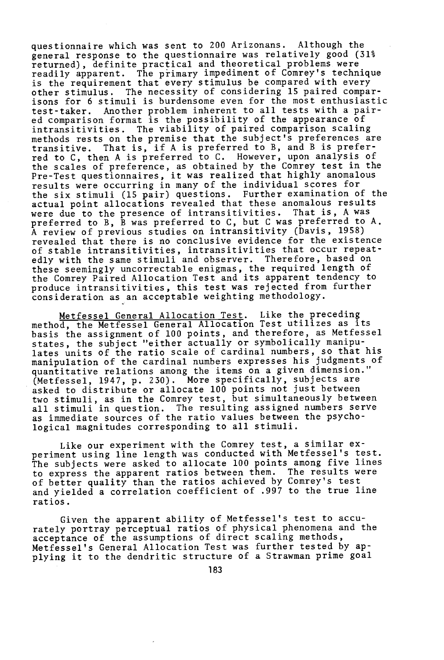questionnaire which was sent to 200 Arizonans. Although the general response to the questionnaire was relatively good (31% returned), definite practical and theoretical problems were readily apparent. The primary impediment of Comrey's technique is the requirement that every stimulus be compared with every other stimulus. The necessity of considering 15 paired comparisons for 6 stimuli is burdensome even for the most enthusiastic test -taker. Another problem inherent to all tests with a paired comparison format is the possibility of the appearance of intransitivities. The viability of paired comparison scaling methods rests on the premise that the subject's preferences are transitive. That is, if A is preferred to B, and B is preferred to C, then A is preferred to C. However, upon analysis of the scales of preference, as obtained by the Comrey test in the Pre -Test questionnaires, it was realized that highly anomalous results were occurring in many of the individual scores for the six stimuli (15 pair) questions. Further examination of the actual point allocations revealed that these anomalous results were due to the presence of intransitivities. That is, A was preferred to B, B was preferred to C, but C was preferred to A. A review of previous studies on intransitivity (Davis, 1958) revealed that there is no conclusive evidence for the existence of stable intransitivities, intransitivities that occur repeatedly with the same stimuli and observer. Therefore, based on these seemingly uncorrectable enigmas, the required length of the Comrey Paired Allocation Test and its apparent tendency to produce intransitivities, this test was rejected from further consideration as an acceptable weighting methodology.

Metfessel General Allocation Test. Like the preceding method, the Metfessel General Allocation Test utilizes as its basis the assignment of 100 points, and therefore, as Metfessel states, the subject "either actually or symbolically manipulates units of the ratio scale of cardinal numbers, so that his manipulation of the cardinal numbers expresses his judgments of quantitative relations among the items on a given dimension." (Metfessel, 1947, p. 230). More specifically, subjects are asked to distribute or allocate 100 points not just between two stimuli, as in the Comrey test, but simultaneously between all stimuli in question. The resulting assigned numbers serve as immediate sources of the ratio values between the psychological magnitudes corresponding to all stimuli.

Like our experiment with the Comrey test, a similar experiment using line length was conducted with Metfessel's test. The subjects were asked to allocate 100 points among five lines to express the apparent ratios between them. The results were of better quality than the ratios achieved by Comrey's test and yielded a correlation coefficient of .997 to the true line ratios.

Given the apparent ability of Metfessel's test to accurately portray perceptual ratios of physical phenomena and the acceptance of the assumptions of direct scaling methods, Metfessel's General Allocation Test was further tested by applying it to the dendritic structure of a Strawman prime goal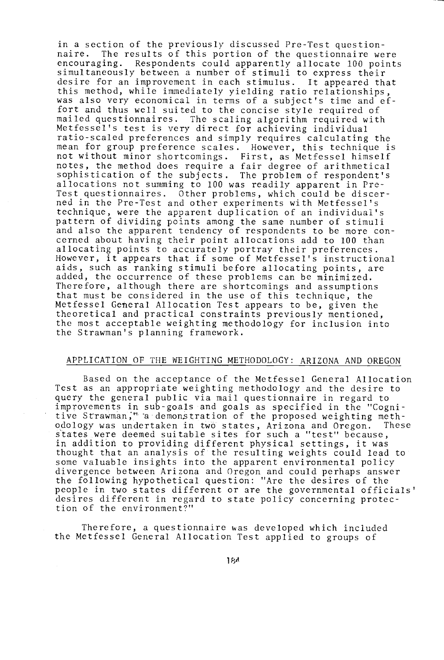in a section of the previously discussed Pre-Test question-<br>naire. The results of this portion of the questionnaire we The results of this portion of the questionnaire were encouraging. Respondents could apparently allocate 100 points simultaneously between a number of stimuli to express their desire for an improvement in each stimulus. It appeared that this method, while immediately yielding ratio relationships, was also very economical in terms of a subject's time and effort and thus well suited to the concise style required of mailed questionnaires. The scaling algorithm required with Metfessel's test is very direct for achieving individual ratio -scaled preferences and simply requires calculating the mean for group preference scales. However, this technique is not without minor shortcomings. First, as Metfessel himself notes, the method does require a fair degree of arithmetical sophistication of the subjects. The problem of respondent's allocations not summing to 100 was readily apparent in Pre-Test questionnaires. Other problems, which could be discerned in the Pre -Test and other experiments with Metfessel's technique, were the apparent duplication of an individual's pattern of dividing points among the same number of stimuli and also the apparent tendency of respondents to be more concerned about having their point allocations add to 100 than allocating points to accurately portray their preferences. However, it appears that if some of Metfessel's instructional aids, such as ranking stimuli before allocating points, are added, the occurrence of these problems can be minimized. Therefore, although there are shortcomings and assumptions that must be considered in the use of this technique, the Metfessel General Allocation Test appears to be, given the theoretical and practical constraints previously mentioned, the most acceptable weighting methodology for inclusion into the Strawman's planning framework.

# APPLICATION OF THE WEIGHTING METHODOLOGY: ARIZONA AND OREGON

Based on the acceptance of the Metfessel General Allocation Test as an appropriate weighting methodology and the desire to query the general public via mail questionnaire in regard to improvements in sub-goals and goals as specified in the "Cognitive Strawman;" a demonstration of the proposed weighting meth-<br>odology was undertaken in two states, Arizona and Oregon. These odology was undertaken in two states, Arizona and Oregon. states were deemed suitable sites for such a "test" because, in addition to providing different physical settings, it was thought that an analysis of the resulting weights could lead to some valuable insights into the apparent environmental policy divergence between Arizona and Oregon and could perhaps answer the following hypothetical question: "Are the desires of the people in two states different or are the governmental officials' desires different in regard to state policy concerning protection of the environment?"

Therefore, a questionnaire was developed which included the Metfessel General Allocation Test applied to groups of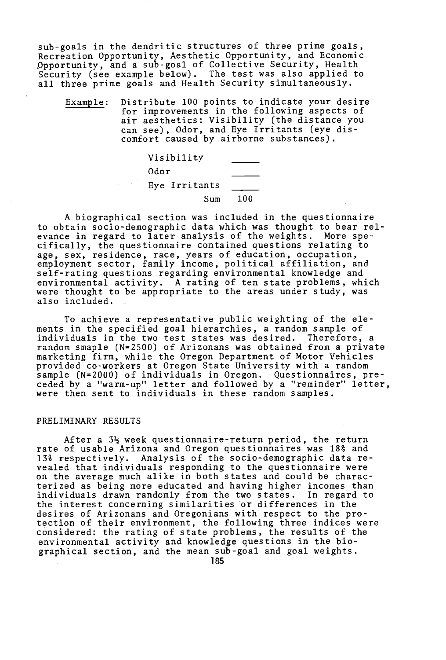sub-goals in the dendritic structures of three prime goals, Recreation Opportunity, Aesthetic Opportunity, and Economic Opportunity, and a sub-goal of Collective Security, Health Security (see example below). The test was also applied to all three prime goals and Health Security simultaneously.

Example: Distribute 100 points to indicate your desire for improvements in the following aspects of air aesthetics: Visibility (the distance you can see), Odor, and Eye Irritants (eye discomfort caused by airborne substances).



A biographical section was included in the questionnaire to obtain socio- demographic data which was thought to bear relevance in regard to later analysis of the weights. More specifically, the questionnaire contained questions relating to age, sex, residence, race, years of education, occupation, employment sector, family income, political affiliation, and self- rating questions regarding environmental knowledge and environmental activity. A rating of ten state problems, which were thought to be appropriate to the areas under study, was also included.

To achieve a representative public weighting of the elements in the specified goal hierarchies, a random sample of individuals in the two test states was desired. Therefore, a random smaple (N=2500) of Arizonans was obtained from a private marketing firm, while the Oregon Department of Motor Vehicles provided co- workers at Oregon State University with a random sample (N=2000) of individuals in Oregon. Questionnaires, preceded by a "warm -up" letter and followed by a "reminder" letter, were then sent to individuals in these random samples.

### PRELIMINARY RESULTS

After a 3<sup>1</sup>/<sub>2</sub> week questionnaire-return period, the return rate of usable Arizona and Oregon questionnaires was 18% and 13% respectively. Analysis of the socio- demographic data revealed that individuals responding to the questionnaire were on the average much alike in both states and could be characterized as being more educated and having higher incomes than individuals drawn randomly from the two states. In regard to the interest concerning similarities or differences in the desires of Arizonans and Oregonians with respect to the protection of their environment, the following three indices were considered: the rating of state problems, the results of the environmental activity and knowledge questions in the biographical section, and the mean sub -goal and goal weights.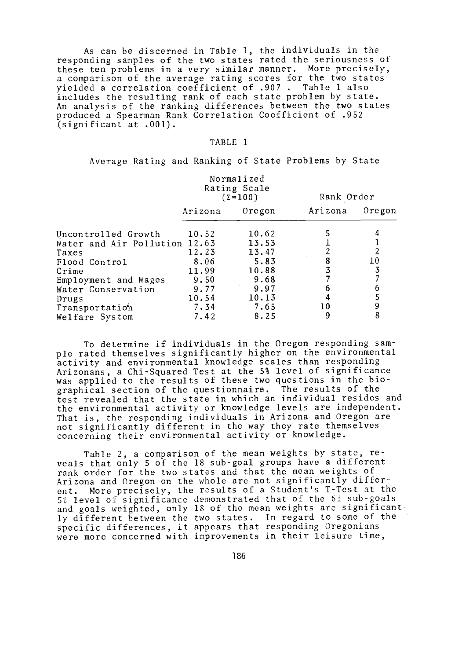As can be discerned in Table 1, the individuals in the responding samples of the two states rated the seriousness of these ten problems in a very similar manner. More precisely, a comparison of the average rating scores for the two states yielded a correlation coefficient of .907 . Table 1 also includes the resulting rank of each state problem by state. An analysis of the ranking differences between the two states produced a Spearman Rank Correlation Coefficient of .952 (significant at .001).

#### TABLE 1

Average Rating and Ranking of State Problems by State

|                               | Rating Scale<br>$\Sigma = 100$ |        | Rank Order |        |
|-------------------------------|--------------------------------|--------|------------|--------|
|                               | Arizona                        | Oregon | Arizona    | Oregon |
| Uncontrolled Growth           | 10.52                          | 10.62  |            |        |
| Water and Air Pollution 12.63 |                                | 13.53  |            |        |
| Taxes                         | 12.23                          | 13.47  |            |        |
| Flood Control                 | 8.06                           | 5.83   |            | $10\,$ |
| Crime                         | 11.99                          | 10.88  |            |        |
| Employment and Wages          | 9.50                           | 9.68   |            |        |
| Water Conservation            | 9.77                           | 9.97   |            |        |
| Drugs                         | 10.54                          | 10.13  |            |        |
| Transportation                | 7.34                           | 7.65   | 10         | 9      |
| Welfare System                | 7.42                           | 8.25   | 9          | 8      |

To determine if individuals in the Oregon responding sample rated themselves significantly higher on the environmental activity and environmental knowledge scales than responding Arizonans, a Chi-Squared Test at the 5% level of significance was applied to the results of these two questions in the bio-<br>graphical section of the questionnaire. The results of the graphical section of the questionnaire. test revealed that the state in which an individual resides and the environmental activity or knowledge levels are independent. That is, the responding individuals in Arizona and Oregon are not significantly different in the way they rate themselves concerning their environmental activity or knowledge.

Table 2, a comparison of the mean weights by state, reveals that only 5 of the 18 sub -goal groups have a different rank order for the two states and that the mean weights of Arizona and Oregon on the whole are not significantly different. More precisely, the results of a Student's T -Test at the 5% level of significance demonstrated that of the 61 sub -goals and goals weighted, only 18 of the mean weights are significantly different between the two states. In regard to some of the specific differences, it appears that responding Oregonians were more concerned with improvements in their leisure time,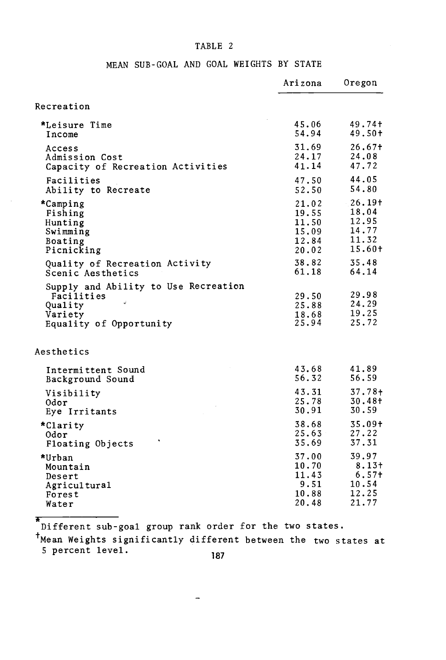# TABLE 2

|  |  |  | MEAN SUB-GOAL AND GOAL WEIGHTS BY STATE |  |
|--|--|--|-----------------------------------------|--|
|  |  |  |                                         |  |

|                                                                                                     | Arizona                          | Oregon                           |
|-----------------------------------------------------------------------------------------------------|----------------------------------|----------------------------------|
| Recreation                                                                                          |                                  |                                  |
| *Leisure Time                                                                                       | 45.06                            | 49.74 <sup>+</sup>               |
| Income                                                                                              | 54.94                            | 49.50+                           |
| Access                                                                                              | 31.69                            | 26.67 <sup>†</sup>               |
| Admission Cost                                                                                      | 24.17                            | 24.08                            |
| Capacity of Recreation Activities                                                                   | 41.14                            | 47.72                            |
| Facilities                                                                                          | 47.50                            | 44.05                            |
| Ability to Recreate                                                                                 | 52.50                            | 54.80                            |
| *Camping                                                                                            | 21.02                            | $26.19+$                         |
| Fishing                                                                                             | 19.55                            | 18.04                            |
| Hunting                                                                                             | 11.50                            | 12.95                            |
| Swimming                                                                                            | 15.09                            | 14.77                            |
| Boating                                                                                             | 12.84                            | 11.32                            |
| Picnicking                                                                                          | 20.02                            | $15.60+$                         |
| Quality of Recreation Activity                                                                      | 38.82                            | 35.48                            |
| Scenic Aesthetics                                                                                   | 61.18                            | 64.14                            |
| Supply and Ability to Use Recreation<br>Facilities<br>Quality<br>Variety<br>Equality of Opportunity | 29.50<br>25.88<br>18.68<br>25.94 | 29.98<br>24.29<br>19.25<br>25.72 |
| Aesthetics                                                                                          |                                  |                                  |
| Intermittent Sound                                                                                  | 43.68                            | 41.89                            |
| Background Sound                                                                                    | 56.32                            | 56.59                            |
| Visibility                                                                                          | 43.31                            | $37.78+$                         |
| 0dor                                                                                                | 25.78                            | $30.48 +$                        |
| Eye Irritants                                                                                       | 30.91                            | 30.59                            |
| *Clarity                                                                                            | 38.68                            | $35.09+$                         |
| 0dor                                                                                                | 25.63                            | 27.22                            |
| Floating Objects                                                                                    | 35.69                            | 37.31                            |
| *Urban                                                                                              | 37.00                            | 39.97                            |
| Mountain                                                                                            | 10.70                            | $8.13+$                          |
| Desert                                                                                              | 11.43                            | 6.57 <sup>†</sup>                |
| Agricultural                                                                                        | 9.51                             | 10.54                            |
| Forest                                                                                              | 10.88                            | 12.25                            |
| Water                                                                                               | 20.48                            | 21.77                            |

\* Different sub-goal group rank order for the two states.

 $\overline{a}$ 

+Mean Weights significantly different between the two states at 5 percent level.187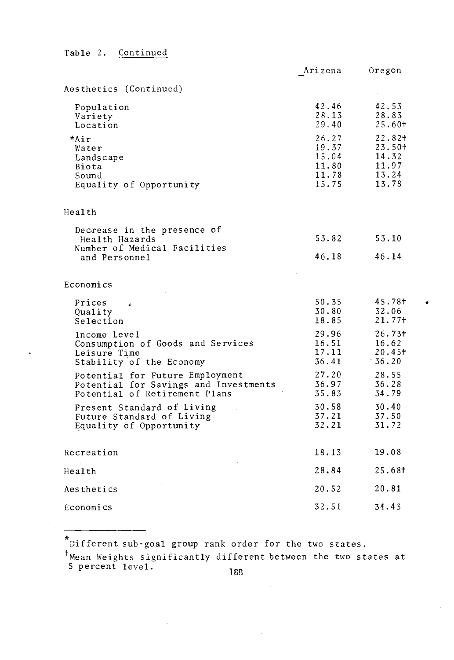Table 2. Continued

|                                                                                                           | Arizona                                            | Oregon                                               |
|-----------------------------------------------------------------------------------------------------------|----------------------------------------------------|------------------------------------------------------|
| Aesthetics (Continued)                                                                                    |                                                    |                                                      |
| Population<br>Variety<br>Location                                                                         | 42.46<br>28.13<br>29.40                            | 42.53<br>28.83<br>25.60+                             |
| *Air<br>Water<br>Landscape<br>Biota<br>Sound<br>Equality of Opportunity                                   | 26.27<br>19.37<br>15.04<br>11.80<br>11.78<br>15.75 | 22.82+<br>23.50+<br>14.32<br>11.97<br>13.24<br>13.78 |
| Health                                                                                                    |                                                    |                                                      |
| Decrease in the presence of<br>Health Hazards<br>Number of Medical Facilities                             | 53.82                                              | 53.10                                                |
| and Personnel                                                                                             | 46.18                                              | 46.14                                                |
| Economics                                                                                                 |                                                    |                                                      |
| Prices<br>b.<br>Quality<br>Selection                                                                      | 50.35<br>30.80<br>18.85                            | 45.78+<br>32.06<br>21.77 <sup>†</sup>                |
| Income Level<br>Consumption of Goods and Services<br>Leisure Time<br>Stability of the Economy             | 29.96<br>16.51<br>17.11<br>36.41                   | $26.73+$<br>16.62<br>20.45 <sup>†</sup><br>$-36.20$  |
| Potential for Future Employment<br>Potential for Savings and Investments<br>Potential of Retirement Plans | 27.20<br>36.97<br>35.83                            | 28.55<br>36.28<br>34.79                              |
| Present Standard of Living<br>Future Standard of Living<br>Equality of Opportunity                        | 30.58<br>37.21<br>32.21                            | 30.40<br>37.50<br>31.72                              |
| Recreation                                                                                                | 18.13                                              | 19.08                                                |
| Health                                                                                                    | 28.84                                              | 25.68+                                               |
| Aesthetics                                                                                                | 20.52                                              | 20.81                                                |
| Economics                                                                                                 | 32.51                                              | 34.43                                                |

\* Different sub-goal group rank order for the two states.

'Mean Weights significantly different between the two states at 5 percent level. 188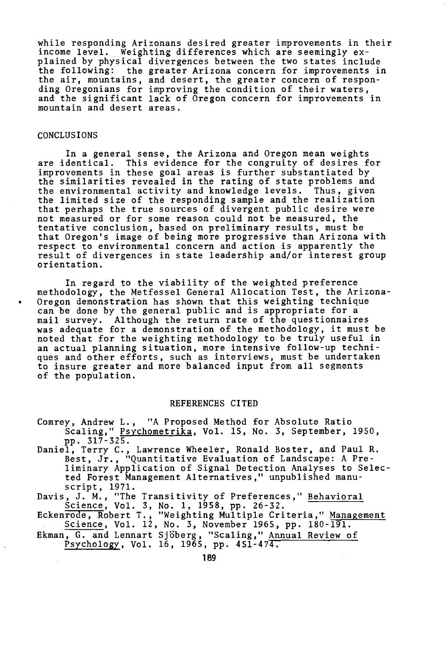while responding Arizonans desired greater improvements in their income level. Weighting differences which are seemingly explained by physical divergences between the two states include the following: the greater Arizona concern for improvements in the air, mountains, and desert, the greater concern of responding Oregonians for improving the condition of their waters, and the significant lack of Oregon concern for improvements in mountain and desert areas.

### CONCLUSIONS

In a general sense, the Arizona and Oregon mean weights are identical. This evidence for the congruity of desires for improvements in these goal areas is further substantiated by the similarities revealed in the rating of state problems and the environmental activity and knowledge levels. Thus, given the limited size of the responding sample and the realization that perhaps the true sources of divergent public desire were not measured or for some reason could not be measured, the tentative conclusion, based on preliminary results, must be that Oregon's image of being more progressive than Arizona with respect to environmental concern and action is apparently the result of divergences in state leadership and/or interest group orientation.

In regard to the viability of the weighted preference methodology, the Metfessel General Allocation Test, the Arizona-Oregon demonstration has shown that this weighting technique can be done by the general public and is appropriate for a mail survey. Although the return rate of the questionnaires was adequate for a demonstration of the methodology, it must be noted that for the weighting methodology to be truly useful in an actual planning situation, more intensive follow -up techniques and other efforts, such as interviews, must be undertaken to insure greater and more balanced input from all segments of the population.

#### REFERENCES CITED

- Comrey, Andrew L., "A Proposed Method for Absolute Ratio Scaling," Psychometrika, Vol. 15, No. 3, September, 1950, pp. 317-325.
- pp. 317 -325. Daniel, Terry C., Lawrence Wheeler, Ronald Boster, and Paul R. Best, Jr., "Quantitative Evaluation of Landscape: A Preliminary Application of Signal Detection Analyses to Selected Forest Management Alternatives," unpublished manuscript, 1971.
- Davis, J. M., "The Transitivity of Preferences," Behavioral Science, Vol. 3, No. 1, 1958, pp. 26 -32.
- Eckenrode, Robert T., "Weighting Multiple Criteria," <u>Management</u> Science, Vol. 12, No. 3, November 1965, pp. 180 -191.
- Ekman, G. and Lennart Sjöberg, "Scaling," Annual Review of Psychology, Vol. 16, 1965, pp. 451 -474.